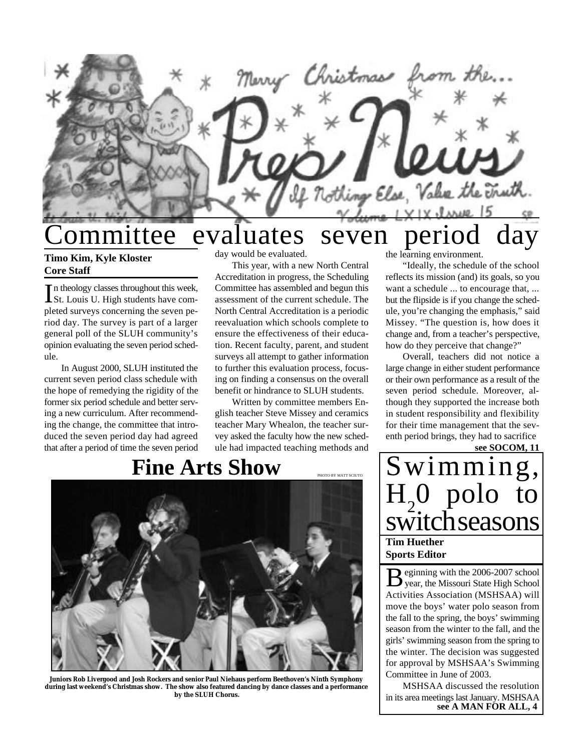

# ommittee evaluates seven period day

#### **Timo Kim, Kyle Kloster Core Staff**

In theology classes throughout this week,<br>St. Louis U. High students have com-St. Louis U. High students have completed surveys concerning the seven period day. The survey is part of a larger general poll of the SLUH community's opinion evaluating the seven period schedule.

In August 2000, SLUH instituted the current seven period class schedule with the hope of remedying the rigidity of the former six period schedule and better serving a new curriculum. After recommending the change, the committee that introduced the seven period day had agreed that after a period of time the seven period day would be evaluated.

This year, with a new North Central Accreditation in progress, the Scheduling Committee has assembled and begun this assessment of the current schedule. The North Central Accreditation is a periodic reevaluation which schools complete to ensure the effectiveness of their education. Recent faculty, parent, and student surveys all attempt to gather information to further this evaluation process, focusing on finding a consensus on the overall benefit or hindrance to SLUH students.

Written by committee members English teacher Steve Missey and ceramics teacher Mary Whealon, the teacher survey asked the faculty how the new schedule had impacted teaching methods and

## **Fine Arts Show**

PHOTO BY MATT SCIUTO



**Juniors Rob Livergood and Josh Rockers and senior Paul Niehaus perform Beethoven's Ninth Symphony during last weekend's Christmas show. The show also featured dancing by dance classes and a performance by the SLUH Chorus.**

the learning environment.

"Ideally, the schedule of the school reflects its mission (and) its goals, so you want a schedule ... to encourage that, ... but the flipside is if you change the schedule, you're changing the emphasis," said Missey. "The question is, how does it change and, from a teacher's perspective, how do they perceive that change?"

Overall, teachers did not notice a large change in either student performance or their own performance as a result of the seven period schedule. Moreover, although they supported the increase both in student responsibility and flexibility for their time management that the seventh period brings, they had to sacrifice

**see SOCOM, 11**

Swimming,  $H_{2}$ 0 polo to switch seasons **Tim Huether Sports Editor**

B eginning with the 2006-2007 school<br>year, the Missouri State High School eginning with the 2006-2007 school Activities Association (MSHSAA) will move the boys' water polo season from the fall to the spring, the boys' swimming season from the winter to the fall, and the girls' swimming season from the spring to the winter. The decision was suggested for approval by MSHSAA's Swimming Committee in June of 2003.

**see A MAN FOR ALL, 4** MSHSAA discussed the resolution in its area meetings last January. MSHSAA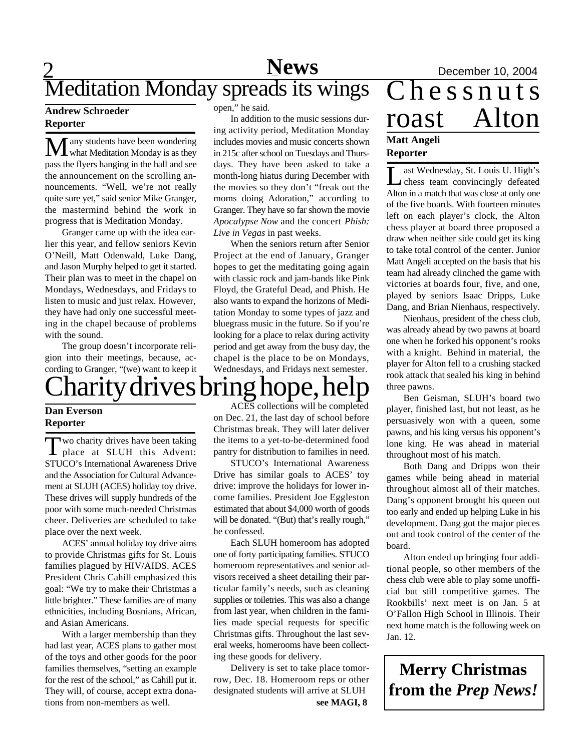### $\overline{2}$ **News** December 10, 2004 Meditation Monday spreads its wings

#### **Andrew Schroeder Reporter**

 $\mathbf M$ any students have been wondering<br>what Meditation Monday is as they pass the flyers hanging in the hall and see the announcement on the scrolling announcements. "Well, we're not really quite sure yet," said senior Mike Granger, the mastermind behind the work in progress that is Meditation Monday.

Granger came up with the idea earlier this year, and fellow seniors Kevin O'Neill, Matt Odenwald, Luke Dang, and Jason Murphy helped to get it started. Their plan was to meet in the chapel on Mondays, Wednesdays, and Fridays to listen to music and just relax. However, they have had only one successful meeting in the chapel because of problems with the sound.

The group doesn't incorporate religion into their meetings, because, according to Granger, "(we) want to keep it

# Charity drives bring hope, help

#### **Dan Everson Reporter**

Two charity drives have been taking<br>place at SLUH this Advent: wo charity drives have been taking STUCO's International Awareness Drive and the Association for Cultural Advancement at SLUH (ACES) holiday toy drive. These drives will supply hundreds of the poor with some much-needed Christmas cheer. Deliveries are scheduled to take place over the next week.

ACES' annual holiday toy drive aims to provide Christmas gifts for St. Louis families plagued by HIV/AIDS. ACES President Chris Cahill emphasized this goal: "We try to make their Christmas a little brighter." These families are of many ethnicities, including Bosnians, African, and Asian Americans.

With a larger membership than they had last year, ACES plans to gather most of the toys and other goods for the poor families themselves, "setting an example for the rest of the school," as Cahill put it. They will, of course, accept extra donations from non-members as well.

open," he said.

In addition to the music sessions during activity period, Meditation Monday includes movies and music concerts shown in 215c after school on Tuesdays and Thursdays. They have been asked to take a month-long hiatus during December with the movies so they don't "freak out the moms doing Adoration," according to Granger. They have so far shown the movie *Apocalypse Now* and the concert *Phish: Live in Vegas* in past weeks.

When the seniors return after Senior Project at the end of January, Granger hopes to get the meditating going again with classic rock and jam-bands like Pink Floyd, the Grateful Dead, and Phish. He also wants to expand the horizons of Meditation Monday to some types of jazz and bluegrass music in the future. So if you're looking for a place to relax during activity period and get away from the busy day, the chapel is the place to be on Mondays, Wednesdays, and Fridays next semester.

ACES collections will be completed on Dec. 21, the last day of school before Christmas break. They will later deliver the items to a yet-to-be-determined food pantry for distribution to families in need.

STUCO's International Awareness Drive has similar goals to ACES' toy drive: improve the holidays for lower income families. President Joe Eggleston estimated that about \$4,000 worth of goods will be donated. "(But) that's really rough," he confessed.

Each SLUH homeroom has adopted one of forty participating families. STUCO homeroom representatives and senior advisors received a sheet detailing their particular family's needs, such as cleaning supplies or toiletries. This was also a change from last year, when children in the families made special requests for specific Christmas gifts. Throughout the last several weeks, homerooms have been collecting these goods for delivery.

Delivery is set to take place tomorrow, Dec. 18. Homeroom reps or other designated students will arrive at SLUH **see MAGI, 8**

## Chessnuts roast Alton **Matt Angeli Reporter**

L ast Wednesday, St. Louis U. High's chess team convincingly defeated Alton in a match that was close at only one of the five boards. With fourteen minutes left on each player's clock, the Alton chess player at board three proposed a draw when neither side could get its king to take total control of the center. Junior Matt Angeli accepted on the basis that his team had already clinched the game with victories at boards four, five, and one, played by seniors Isaac Dripps, Luke Dang, and Brian Nienhaus, respectively.

Nienhaus, president of the chess club, was already ahead by two pawns at board one when he forked his opponent's rooks with a knight. Behind in material, the player for Alton fell to a crushing stacked rook attack that sealed his king in behind three pawns.

Ben Geisman, SLUH's board two player, finished last, but not least, as he persuasively won with a queen, some pawns, and his king versus his opponent's lone king. He was ahead in material throughout most of his match.

Both Dang and Dripps won their games while being ahead in material throughout almost all of their matches. Dang's opponent brought his queen out too early and ended up helping Luke in his development. Dang got the major pieces out and took control of the center of the board.

Alton ended up bringing four additional people, so other members of the chess club were able to play some unofficial but still competitive games. The Rookbills' next meet is on Jan. 5 at O'Fallon High School in Illinois. Their next home match is the following week on Jan. 12.

**Merry Christmas from the** *Prep News!*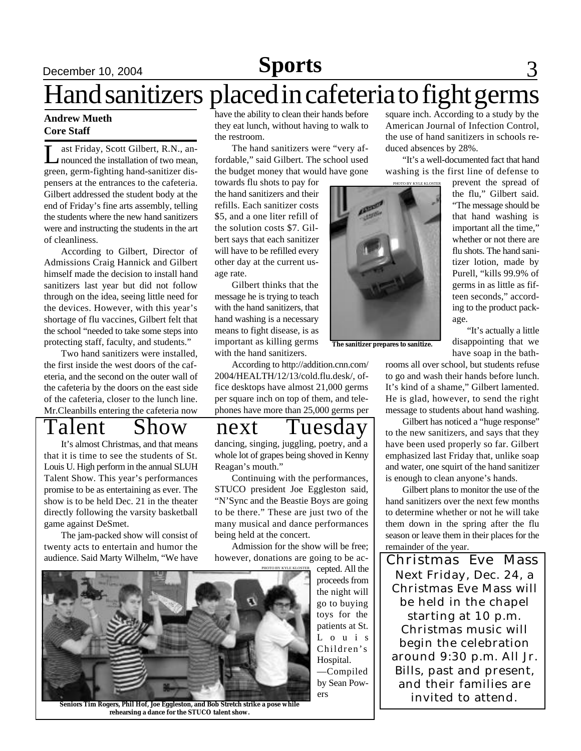# **December 10, 2004 Sports** 3

# Hand sanitizers placed in cafeteria to fight germs

#### **Andrew Mueth Core Staff**

Last Friday, Scott Gilbert, R.N., an-<br>mounced the installation of two mean,<br>green, germ-fighting hand-sanitizer disast Friday, Scott Gilbert, R.N., announced the installation of two mean, pensers at the entrances to the cafeteria. Gilbert addressed the student body at the end of Friday's fine arts assembly, telling the students where the new hand sanitizers were and instructing the students in the art of cleanliness.

According to Gilbert, Director of Admissions Craig Hannick and Gilbert himself made the decision to install hand sanitizers last year but did not follow through on the idea, seeing little need for the devices. However, with this year's shortage of flu vaccines, Gilbert felt that the school "needed to take some steps into protecting staff, faculty, and students."

Two hand sanitizers were installed, the first inside the west doors of the cafeteria, and the second on the outer wall of the cafeteria by the doors on the east side of the cafeteria, closer to the lunch line. Mr.Cleanbills entering the cafeteria now

It's almost Christmas, and that means that it is time to see the students of St. Louis U. High perform in the annual SLUH Talent Show. This year's performances promise to be as entertaining as ever. The show is to be held Dec. 21 in the theater directly following the varsity basketball game against DeSmet.

The jam-packed show will consist of twenty acts to entertain and humor the audience. Said Marty Wilhelm, "We have have the ability to clean their hands before they eat lunch, without having to walk to the restroom.

The hand sanitizers were "very affordable," said Gilbert. The school used the budget money that would have gone

towards flu shots to pay for the hand sanitizers and their refills. Each sanitizer costs \$5, and a one liter refill of the solution costs \$7. Gilbert says that each sanitizer will have to be refilled every other day at the current usage rate.

Gilbert thinks that the message he is trying to teach with the hand sanitizers, that hand washing is a necessary means to fight disease, is as important as killing germs with the hand sanitizers.

According to http://addition.cnn.com/ 2004/HEALTH/12/13/cold.flu.desk/, office desktops have almost 21,000 germs per square inch on top of them, and telephones have more than 25,000 germs per

## Talent Show next Tuesday

dancing, singing, juggling, poetry, and a whole lot of grapes being shoved in Kenny Reagan's mouth."

Continuing with the performances, STUCO president Joe Eggleston said, "N'Sync and the Beastie Boys are going to be there." These are just two of the many musical and dance performances being held at the concert.

Admission for the show will be free; however, donations are going to be ac-



**Seniors Tim Rogers, Phil Hof, Joe Eggleston, and Bob Stretch strike a pose while rehearsing a dance for the STUCO talent show.**

square inch. According to a study by the American Journal of Infection Control, the use of hand sanitizers in schools reduced absences by 28%.

"It's a well-documented fact that hand washing is the first line of defense to



**The sanitizer prepares to sanitize.**

prevent the spread of the flu," Gilbert said. "The message should be that hand washing is important all the time," whether or not there are flu shots. The hand sanitizer lotion, made by Purell, "kills 99.9% of germs in as little as fifteen seconds," according to the product package.

 "It's actually a little disappointing that we have soap in the bath-

rooms all over school, but students refuse to go and wash their hands before lunch. It's kind of a shame," Gilbert lamented. He is glad, however, to send the right message to students about hand washing.

Gilbert has noticed a "huge response" to the new sanitizers, and says that they have been used properly so far. Gilbert emphasized last Friday that, unlike soap and water, one squirt of the hand sanitizer is enough to clean anyone's hands.

Gilbert plans to monitor the use of the hand sanitizers over the next few months to determine whether or not he will take them down in the spring after the flu season or leave them in their places for the remainder of the year.

phations are going to be ac-<br>PHOTO BY KYLEKLOSTER CONTROL All the  $\left|\right|$  Christmas Eve Mass Next Friday, Dec. 24, a Christmas Eve Mass will be held in the chapel starting at 10 p.m. Christmas music will begin the celebration around 9:30 p.m. All Jr. Bills, past and present, and their families are invited to attend.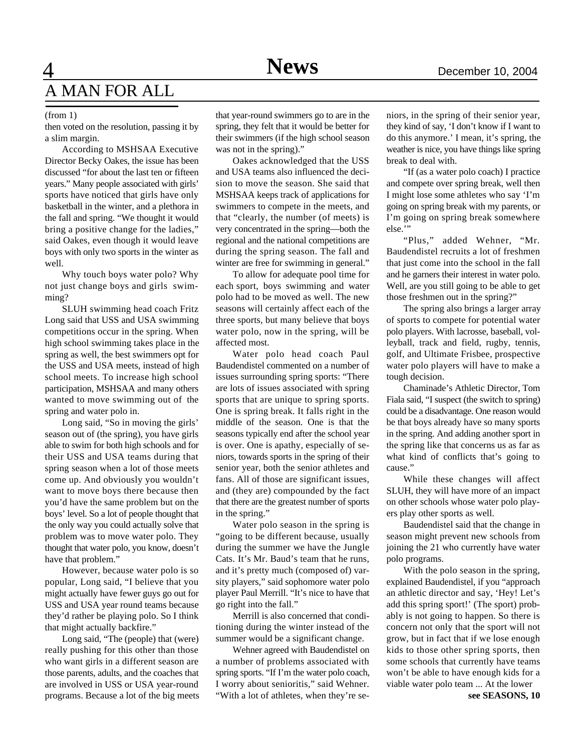## $\overline{4}$ A MAN FOR ALL

#### (from 1)

then voted on the resolution, passing it by a slim margin.

According to MSHSAA Executive Director Becky Oakes, the issue has been discussed "for about the last ten or fifteen years." Many people associated with girls' sports have noticed that girls have only basketball in the winter, and a plethora in the fall and spring. "We thought it would bring a positive change for the ladies," said Oakes, even though it would leave boys with only two sports in the winter as well.

Why touch boys water polo? Why not just change boys and girls swimming?

SLUH swimming head coach Fritz Long said that USS and USA swimming competitions occur in the spring. When high school swimming takes place in the spring as well, the best swimmers opt for the USS and USA meets, instead of high school meets. To increase high school participation, MSHSAA and many others wanted to move swimming out of the spring and water polo in.

Long said, "So in moving the girls' season out of (the spring), you have girls able to swim for both high schools and for their USS and USA teams during that spring season when a lot of those meets come up. And obviously you wouldn't want to move boys there because then you'd have the same problem but on the boys' level. So a lot of people thought that the only way you could actually solve that problem was to move water polo. They thought that water polo, you know, doesn't have that problem."

However, because water polo is so popular, Long said, "I believe that you might actually have fewer guys go out for USS and USA year round teams because they'd rather be playing polo. So I think that might actually backfire."

Long said, "The (people) that (were) really pushing for this other than those who want girls in a different season are those parents, adults, and the coaches that are involved in USS or USA year-round programs. Because a lot of the big meets that year-round swimmers go to are in the spring, they felt that it would be better for their swimmers (if the high school season was not in the spring)."

Oakes acknowledged that the USS and USA teams also influenced the decision to move the season. She said that MSHSAA keeps track of applications for swimmers to compete in the meets, and that "clearly, the number (of meets) is very concentrated in the spring—both the regional and the national competitions are during the spring season. The fall and winter are free for swimming in general."

To allow for adequate pool time for each sport, boys swimming and water polo had to be moved as well. The new seasons will certainly affect each of the three sports, but many believe that boys water polo, now in the spring, will be affected most.

Water polo head coach Paul Baudendistel commented on a number of issues surrounding spring sports: "There are lots of issues associated with spring sports that are unique to spring sports. One is spring break. It falls right in the middle of the season. One is that the seasons typically end after the school year is over. One is apathy, especially of seniors, towards sports in the spring of their senior year, both the senior athletes and fans. All of those are significant issues, and (they are) compounded by the fact that there are the greatest number of sports in the spring."

Water polo season in the spring is "going to be different because, usually during the summer we have the Jungle Cats. It's Mr. Baud's team that he runs, and it's pretty much (composed of) varsity players," said sophomore water polo player Paul Merrill. "It's nice to have that go right into the fall."

Merrill is also concerned that conditioning during the winter instead of the summer would be a significant change.

Wehner agreed with Baudendistel on a number of problems associated with spring sports. "If I'm the water polo coach, I worry about senioritis," said Wehner. "With a lot of athletes, when they're seniors, in the spring of their senior year, they kind of say, 'I don't know if I want to do this anymore.' I mean, it's spring, the weather is nice, you have things like spring break to deal with.

"If (as a water polo coach) I practice and compete over spring break, well then I might lose some athletes who say 'I'm going on spring break with my parents, or I'm going on spring break somewhere else."

"Plus," added Wehner, "Mr. Baudendistel recruits a lot of freshmen that just come into the school in the fall and he garners their interest in water polo. Well, are you still going to be able to get those freshmen out in the spring?"

The spring also brings a larger array of sports to compete for potential water polo players. With lacrosse, baseball, volleyball, track and field, rugby, tennis, golf, and Ultimate Frisbee, prospective water polo players will have to make a tough decision.

Chaminade's Athletic Director, Tom Fiala said, "I suspect (the switch to spring) could be a disadvantage. One reason would be that boys already have so many sports in the spring. And adding another sport in the spring like that concerns us as far as what kind of conflicts that's going to cause."

While these changes will affect SLUH, they will have more of an impact on other schools whose water polo players play other sports as well.

Baudendistel said that the change in season might prevent new schools from joining the 21 who currently have water polo programs.

With the polo season in the spring, explained Baudendistel, if you "approach an athletic director and say, 'Hey! Let's add this spring sport!' (The sport) probably is not going to happen. So there is concern not only that the sport will not grow, but in fact that if we lose enough kids to those other spring sports, then some schools that currently have teams won't be able to have enough kids for a viable water polo team ... At the lower

**see SEASONS, 10**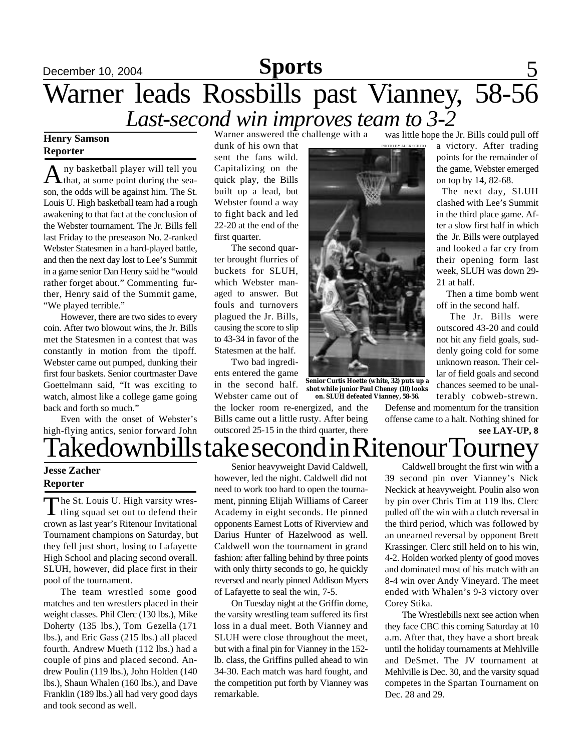#### December 10, 2004 **Sports** 5 *Last-second win improves team to 3-2* **Sports** Warner leads Rossbills past Vianney, 58-56 Warner answered the challenge with a was little hope the Jr. Bills could pull off

#### **Henry Samson Reporter**

 $A<sub>that</sub>$  at some point during the seany basketball player will tell you son, the odds will be against him. The St. Louis U. High basketball team had a rough awakening to that fact at the conclusion of the Webster tournament. The Jr. Bills fell last Friday to the preseason No. 2-ranked Webster Statesmen in a hard-played battle, and then the next day lost to Lee's Summit in a game senior Dan Henry said he "would rather forget about." Commenting further, Henry said of the Summit game, "We played terrible."

However, there are two sides to every coin. After two blowout wins, the Jr. Bills met the Statesmen in a contest that was constantly in motion from the tipoff. Webster came out pumped, dunking their first four baskets. Senior courtmaster Dave Goettelmann said, "It was exciting to watch, almost like a college game going back and forth so much."

Even with the onset of Webster's high-flying antics, senior forward John

dunk of his own that sent the fans wild. Capitalizing on the quick play, the Bills built up a lead, but Webster found a way to fight back and led 22-20 at the end of the first quarter.

The second quarter brought flurries of buckets for SLUH, which Webster managed to answer. But fouls and turnovers plagued the Jr. Bills, causing the score to slip to 43-34 in favor of the Statesmen at the half.

Two bad ingredients entered the game in the second half. Webster came out of

the locker room re-energized, and the Bills came out a little rusty. After being outscored 25-15 in the third quarter, there



**Senior Curtis Hoette (white, 32) puts up a shot while junior Paul Cheney (10) looks**

Defense and momentum for the transition offense came to a halt. Nothing shined for

21 at half.

a victory. After trading points for the remainder of the game, Webster emerged on top by 14, 82-68. The next day, SLUH clashed with Lee's Summit in the third place game. After a slow first half in which the Jr. Bills were outplayed and looked a far cry from their opening form last week, SLUH was down 29-

 Then a time bomb went off in the second half.

The Jr. Bills were outscored 43-20 and could not hit any field goals, suddenly going cold for some unknown reason. Their cellar of field goals and second



chances seemed to be unalterably cobweb-strewn. **on. SLUH defeated Vianney, 58-56.**

PHOTO BY ALEX SCIUTO

**see LAY-UP, 8** Takedownbills take second in Ritenour Tourney

#### **Jesse Zacher Reporter**

The St. Louis U. High varsity wres-<br>tling squad set out to defend their he St. Louis U. High varsity wrescrown as last year's Ritenour Invitational Tournament champions on Saturday, but they fell just short, losing to Lafayette High School and placing second overall. SLUH, however, did place first in their pool of the tournament.

The team wrestled some good matches and ten wrestlers placed in their weight classes. Phil Clerc (130 lbs.), Mike Doherty (135 lbs.), Tom Gezella (171 lbs.), and Eric Gass (215 lbs.) all placed fourth. Andrew Mueth (112 lbs.) had a couple of pins and placed second. Andrew Poulin (119 lbs.), John Holden (140 lbs.), Shaun Whalen (160 lbs.), and Dave Franklin (189 lbs.) all had very good days and took second as well.

Senior heavyweight David Caldwell, however, led the night. Caldwell did not need to work too hard to open the tournament, pinning Elijah Williams of Career Academy in eight seconds. He pinned opponents Earnest Lotts of Riverview and Darius Hunter of Hazelwood as well. Caldwell won the tournament in grand fashion: after falling behind by three points with only thirty seconds to go, he quickly reversed and nearly pinned Addison Myers of Lafayette to seal the win, 7-5.

On Tuesday night at the Griffin dome, the varsity wrestling team suffered its first loss in a dual meet. Both Vianney and SLUH were close throughout the meet, but with a final pin for Vianney in the 152 lb. class, the Griffins pulled ahead to win 34-30. Each match was hard fought, and the competition put forth by Vianney was remarkable.

Caldwell brought the first win with a 39 second pin over Vianney's Nick Neckick at heavyweight. Poulin also won by pin over Chris Tim at 119 lbs. Clerc pulled off the win with a clutch reversal in the third period, which was followed by an unearned reversal by opponent Brett Krassinger. Clerc still held on to his win, 4-2. Holden worked plenty of good moves and dominated most of his match with an 8-4 win over Andy Vineyard. The meet ended with Whalen's 9-3 victory over Corey Stika.

The Wrestlebills next see action when they face CBC this coming Saturday at 10 a.m. After that, they have a short break until the holiday tournaments at Mehlville and DeSmet. The JV tournament at Mehlville is Dec. 30, and the varsity squad competes in the Spartan Tournament on Dec. 28 and 29.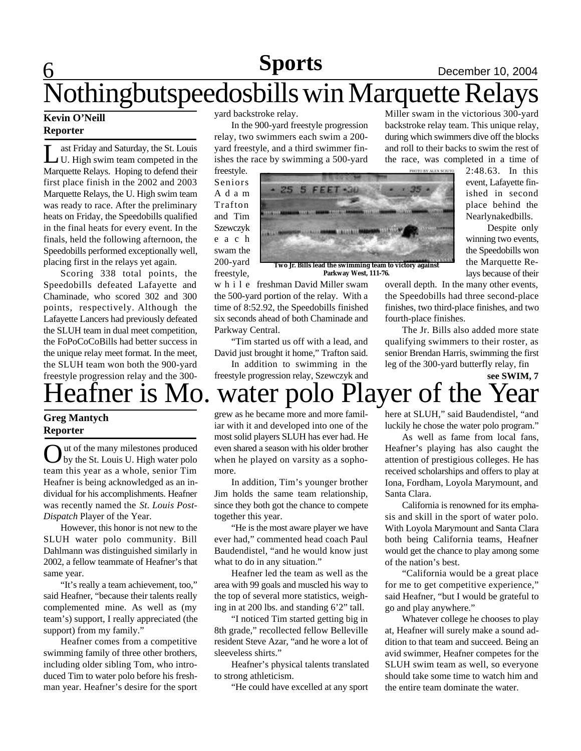#### **Sports** December 10, 2004 **Sports**

# 6 Nothingbutspeedosbills win Marquette Relays

#### **Kevin O'Neill Reporter**

Let a Friday and Saturday, the St. Louis<br>
U. High swim team competed in the<br>
Marquette Relays. Hoping to defend their ast Friday and Saturday, the St. Louis U. High swim team competed in the first place finish in the 2002 and 2003 Marquette Relays, the U. High swim team was ready to race. After the preliminary heats on Friday, the Speedobills qualified in the final heats for every event. In the finals, held the following afternoon, the Speedobills performed exceptionally well, placing first in the relays yet again.

Scoring 338 total points, the Speedobills defeated Lafayette and Chaminade, who scored 302 and 300 points, respectively. Although the Lafayette Lancers had previously defeated the SLUH team in dual meet competition, the FoPoCoCoBills had better success in the unique relay meet format. In the meet, the SLUH team won both the 900-yard freestyle progression relay and the 300-

#### **Greg Mantych Reporter**

**O** ut of the many milestones produced<br>team this year as a whole, senior Tim ut of the many milestones produced by the St. Louis U. High water polo Heafner is being acknowledged as an individual for his accomplishments. Heafner was recently named the *St. Louis Post-Dispatch* Player of the Year.

However, this honor is not new to the SLUH water polo community. Bill Dahlmann was distinguished similarly in 2002, a fellow teammate of Heafner's that same year.

"It's really a team achievement, too," said Heafner, "because their talents really complemented mine. As well as (my team's) support, I really appreciated (the support) from my family."

Heafner comes from a competitive swimming family of three other brothers, including older sibling Tom, who introduced Tim to water polo before his freshman year. Heafner's desire for the sport

yard backstroke relay.

In the 900-yard freestyle progression relay, two swimmers each swim a 200 yard freestyle, and a third swimmer finishes the race by swimming a 500-yard





**Parkway West, 111-76.**

w h i l e freshman David Miller swam the 500-yard portion of the relay. With a time of 8:52.92, the Speedobills finished six seconds ahead of both Chaminade and Parkway Central.

"Tim started us off with a lead, and David just brought it home," Trafton said.

In addition to swimming in the freestyle progression relay, Szewczyk and

Heafner is Mo. water polo Player of the Year

grew as he became more and more familiar with it and developed into one of the most solid players SLUH has ever had. He even shared a season with his older brother when he played on varsity as a sophomore.

In addition, Tim's younger brother Jim holds the same team relationship, since they both got the chance to compete together this year.

"He is the most aware player we have ever had," commented head coach Paul Baudendistel, "and he would know just what to do in any situation."

Heafner led the team as well as the area with 99 goals and muscled his way to the top of several more statistics, weighing in at 200 lbs. and standing 6'2" tall.

"I noticed Tim started getting big in 8th grade," recollected fellow Belleville resident Steve Azar, "and he wore a lot of sleeveless shirts."

Heafner's physical talents translated to strong athleticism.

"He could have excelled at any sport

Miller swam in the victorious 300-yard backstroke relay team. This unique relay, during which swimmers dive off the blocks and roll to their backs to swim the rest of the race, was completed in a time of

> 2:48.63. In this event, Lafayette finished in second place behind the Nearlynakedbills.

> Despite only winning two events, the Speedobills won the Marquette Relays because of their

overall depth. In the many other events, the Speedobills had three second-place finishes, two third-place finishes, and two fourth-place finishes.

The Jr. Bills also added more state qualifying swimmers to their roster, as senior Brendan Harris, swimming the first leg of the 300-yard butterfly relay, fin

**see SWIM, 7**

here at SLUH," said Baudendistel, "and luckily he chose the water polo program."

As well as fame from local fans, Heafner's playing has also caught the attention of prestigious colleges. He has received scholarships and offers to play at Iona, Fordham, Loyola Marymount, and Santa Clara.

California is renowned for its emphasis and skill in the sport of water polo. With Loyola Marymount and Santa Clara both being California teams, Heafner would get the chance to play among some of the nation's best.

"California would be a great place for me to get competitive experience," said Heafner, "but I would be grateful to go and play anywhere."

Whatever college he chooses to play at, Heafner will surely make a sound addition to that team and succeed. Being an avid swimmer, Heafner competes for the SLUH swim team as well, so everyone should take some time to watch him and the entire team dominate the water.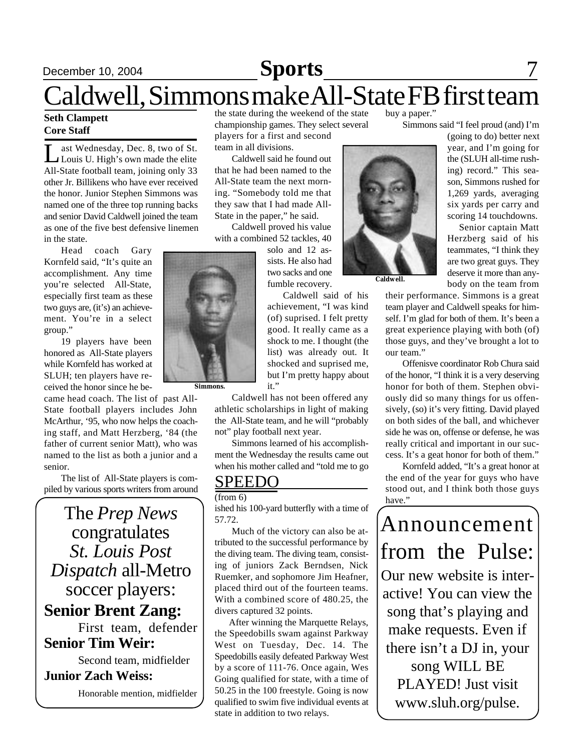# **December 10, 2004 Sports** 7

# Caldwell, Simmons make All-State FB first team

#### **Seth Clampett Core Staff**

Let Wednesday, Dec. 8, two of St.<br>Louis U. High's own made the elite<br>All-State football team, joining only 33 ast Wednesday, Dec. 8, two of St. Louis U. High's own made the elite other Jr. Billikens who have ever received the honor. Junior Stephen Simmons was named one of the three top running backs and senior David Caldwell joined the team as one of the five best defensive linemen in the state.

Head coach Gary Kornfeld said, "It's quite an accomplishment. Any time you're selected All-State, especially first team as these two guys are, (it's) an achievement. You're in a select group."

19 players have been honored as All-State players while Kornfeld has worked at SLUH; ten players have received the honor since he be-

came head coach. The list of past All-State football players includes John McArthur, '95, who now helps the coaching staff, and Matt Herzberg, '84 (the father of current senior Matt), who was named to the list as both a junior and a senior.

The list of All-State players is compiled by various sports writers from around

The *Prep News* congratulates *St. Louis Post Dispatch* all-Metro soccer players: **Senior Brent Zang:** First team, defender **Senior Tim Weir:**

Second team, midfielder

#### **Junior Zach Weiss:**

Honorable mention, midfielder

the state during the weekend of the state championship games. They select several players for a first and second team in all divisions.

Caldwell said he found out that he had been named to the All-State team the next morning. "Somebody told me that they saw that I had made All-State in the paper," he said.

Caldwell proved his value with a combined 52 tackles, 40

solo and 12 assists. He also had two sacks and one fumble recovery.

Caldwell said of his achievement, "I was kind (of) suprised. I felt pretty good. It really came as a shock to me. I thought (the list) was already out. It shocked and suprised me, but I'm pretty happy about it."

Caldwell has not been offered any athletic scholarships in light of making the All-State team, and he will "probably not" play football next year.

Simmons learned of his accomplishment the Wednesday the results came out when his mother called and "told me to go

### SPEEDO

 $(from 6)$ 

ished his 100-yard butterfly with a time of 57.72.

Much of the victory can also be attributed to the successful performance by the diving team. The diving team, consisting of juniors Zack Berndsen, Nick Ruemker, and sophomore Jim Heafner, placed third out of the fourteen teams. With a combined score of 480.25, the divers captured 32 points.

 After winning the Marquette Relays, the Speedobills swam against Parkway West on Tuesday, Dec. 14. The Speedobills easily defeated Parkway West by a score of 111-76. Once again, Wes Going qualified for state, with a time of 50.25 in the 100 freestyle. Going is now qualified to swim five individual events at state in addition to two relays.

buy a paper."

Simmons said "I feel proud (and) I'm

(going to do) better next year, and I'm going for the (SLUH all-time rushing) record." This season, Simmons rushed for 1,269 yards, averaging six yards per carry and scoring 14 touchdowns.

 Senior captain Matt Herzberg said of his teammates, "I think they are two great guys. They deserve it more than anybody on the team from

their performance. Simmons is a great team player and Caldwell speaks for himself. I'm glad for both of them. It's been a great experience playing with both (of) those guys, and they've brought a lot to our team."

Offenisve coordinator Rob Chura said of the honor, "I think it is a very deserving honor for both of them. Stephen obviously did so many things for us offensively, (so) it's very fitting. David played on both sides of the ball, and whichever side he was on, offense or defense, he was really critical and important in our success. It's a geat honor for both of them."

Kornfeld added, "It's a great honor at the end of the year for guys who have stood out, and I think both those guys have."

Announcement from the Pulse: Our new website is interactive! You can view the song that's playing and make requests. Even if there isn't a DJ in, your song WILL BE PLAYED! Just visit www.sluh.org/pulse.



**Caldwell.**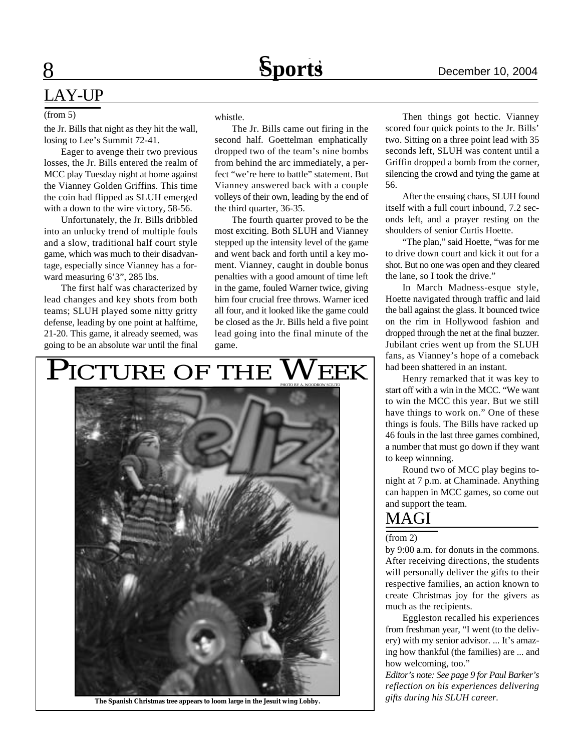### LAY-UP

#### (from 5)

8

the Jr. Bills that night as they hit the wall, losing to Lee's Summit 72-41.

Eager to avenge their two previous losses, the Jr. Bills entered the realm of MCC play Tuesday night at home against the Vianney Golden Griffins. This time the coin had flipped as SLUH emerged with a down to the wire victory, 58-56.

Unfortunately, the Jr. Bills dribbled into an unlucky trend of multiple fouls and a slow, traditional half court style game, which was much to their disadvantage, especially since Vianney has a forward measuring 6'3", 285 lbs.

The first half was characterized by lead changes and key shots from both teams; SLUH played some nitty gritty defense, leading by one point at halftime, 21-20. This game, it already seemed, was going to be an absolute war until the final whistle.

The Jr. Bills came out firing in the second half. Goettelman emphatically dropped two of the team's nine bombs from behind the arc immediately, a perfect "we're here to battle" statement. But Vianney answered back with a couple volleys of their own, leading by the end of the third quarter, 36-35.

The fourth quarter proved to be the most exciting. Both SLUH and Vianney stepped up the intensity level of the game and went back and forth until a key moment. Vianney, caught in double bonus penalties with a good amount of time left in the game, fouled Warner twice, giving him four crucial free throws. Warner iced all four, and it looked like the game could be closed as the Jr. Bills held a five point lead going into the final minute of the game.

#### PICTURE OF THE  $\mathbf{W}\mathbf{E}\mathbf{E}\mathbf{K}$



*gifts during his SLUH career.* **The Spanish Christmas tree appears to loom large in the Jesuit wing Lobby.**

Then things got hectic. Vianney scored four quick points to the Jr. Bills' two. Sitting on a three point lead with 35 seconds left, SLUH was content until a Griffin dropped a bomb from the corner, silencing the crowd and tying the game at 56.

After the ensuing chaos, SLUH found itself with a full court inbound, 7.2 seconds left, and a prayer resting on the shoulders of senior Curtis Hoette.

"The plan," said Hoette, "was for me to drive down court and kick it out for a shot. But no one was open and they cleared the lane, so I took the drive."

In March Madness-esque style, Hoette navigated through traffic and laid the ball against the glass. It bounced twice on the rim in Hollywood fashion and dropped through the net at the final buzzer. Jubilant cries went up from the SLUH fans, as Vianney's hope of a comeback had been shattered in an instant.

Henry remarked that it was key to start off with a win in the MCC. "We want to win the MCC this year. But we still have things to work on." One of these things is fouls. The Bills have racked up 46 fouls in the last three games combined, a number that must go down if they want to keep winnning.

Round two of MCC play begins tonight at 7 p.m. at Chaminade. Anything can happen in MCC games, so come out and support the team.

### MAGI

 $(from 2)$ 

by 9:00 a.m. for donuts in the commons. After receiving directions, the students will personally deliver the gifts to their respective families, an action known to create Christmas joy for the givers as much as the recipients.

Eggleston recalled his experiences from freshman year, "I went (to the delivery) with my senior advisor. ... It's amazing how thankful (the families) are ... and how welcoming, too."

*Editor's note: See page 9 for Paul Barker's reflection on his experiences delivering*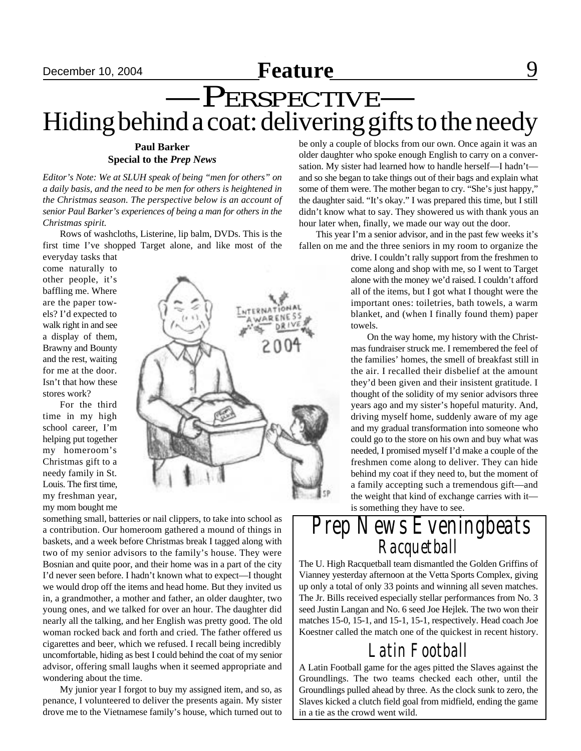# **December 10, 2004 Feature** 8 —PERSPECTIVE— Hiding behind a coat: delivering gifts to the needy

#### **Paul Barker Special to the** *Prep News*

*Editor's Note: We at SLUH speak of being "men for others" on a daily basis, and the need to be men for others is heightened in the Christmas season. The perspective below is an account of senior Paul Barker's experiences of being a man for others in the Christmas spirit.*

Rows of washcloths, Listerine, lip balm, DVDs. This is the first time I've shopped Target alone, and like most of the

everyday tasks that come naturally to other people, it's baffling me. Where are the paper towels? I'd expected to walk right in and see a display of them, Brawny and Bounty and the rest, waiting for me at the door. Isn't that how these stores work?

For the third time in my high school career, I'm helping put together my homeroom's Christmas gift to a needy family in St. Louis. The first time, my freshman year, my mom bought me



something small, batteries or nail clippers, to take into school as a contribution. Our homeroom gathered a mound of things in baskets, and a week before Christmas break I tagged along with two of my senior advisors to the family's house. They were Bosnian and quite poor, and their home was in a part of the city I'd never seen before. I hadn't known what to expect—I thought we would drop off the items and head home. But they invited us in, a grandmother, a mother and father, an older daughter, two young ones, and we talked for over an hour. The daughter did nearly all the talking, and her English was pretty good. The old woman rocked back and forth and cried. The father offered us cigarettes and beer, which we refused. I recall being incredibly uncomfortable, hiding as best I could behind the coat of my senior advisor, offering small laughs when it seemed appropriate and wondering about the time.

My junior year I forgot to buy my assigned item, and so, as penance, I volunteered to deliver the presents again. My sister drove me to the Vietnamese family's house, which turned out to be only a couple of blocks from our own. Once again it was an older daughter who spoke enough English to carry on a conversation. My sister had learned how to handle herself—I hadn't and so she began to take things out of their bags and explain what some of them were. The mother began to cry. "She's just happy," the daughter said. "It's okay." I was prepared this time, but I still didn't know what to say. They showered us with thank yous an hour later when, finally, we made our way out the door.

This year I'm a senior advisor, and in the past few weeks it's fallen on me and the three seniors in my room to organize the

> drive. I couldn't rally support from the freshmen to come along and shop with me, so I went to Target alone with the money we'd raised. I couldn't afford all of the items, but I got what I thought were the important ones: toiletries, bath towels, a warm blanket, and (when I finally found them) paper towels.

> On the way home, my history with the Christmas fundraiser struck me. I remembered the feel of the families' homes, the smell of breakfast still in the air. I recalled their disbelief at the amount they'd been given and their insistent gratitude. I thought of the solidity of my senior advisors three years ago and my sister's hopeful maturity. And, driving myself home, suddenly aware of my age and my gradual transformation into someone who could go to the store on his own and buy what was needed, I promised myself I'd make a couple of the freshmen come along to deliver. They can hide behind my coat if they need to, but the moment of a family accepting such a tremendous gift—and the weight that kind of exchange carries with it is something they have to see.

## *Prep News Eveningbeats Racquetball*

The U. High Racquetball team dismantled the Golden Griffins of Vianney yesterday afternoon at the Vetta Sports Complex, giving up only a total of only 33 points and winning all seven matches. The Jr. Bills received especially stellar performances from No. 3 seed Justin Langan and No. 6 seed Joe Hejlek. The two won their matches 15-0, 15-1, and 15-1, 15-1, respectively. Head coach Joe Koestner called the match one of the quickest in recent history.

## *Latin Football*

A Latin Football game for the ages pitted the Slaves against the Groundlings. The two teams checked each other, until the Groundlings pulled ahead by three. As the clock sunk to zero, the Slaves kicked a clutch field goal from midfield, ending the game in a tie as the crowd went wild.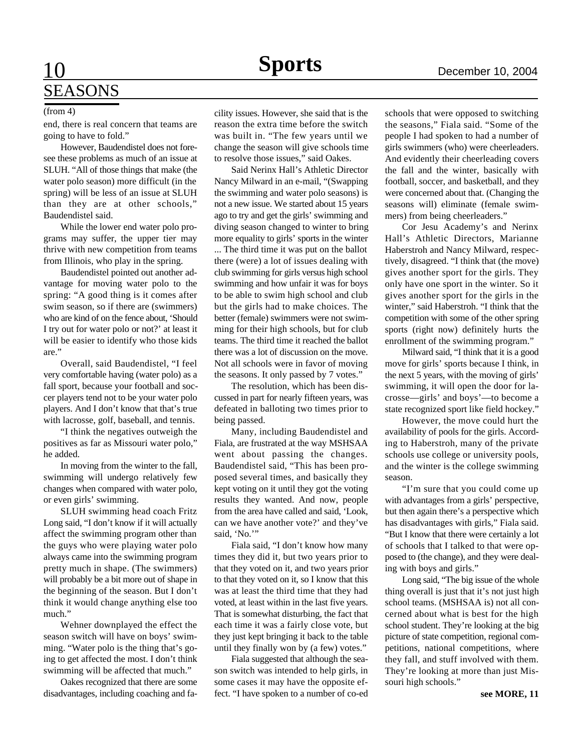# 10 **Sports** December 10, 2004 SEASONS

#### (from 4)

end, there is real concern that teams are going to have to fold."

However, Baudendistel does not foresee these problems as much of an issue at SLUH. "All of those things that make (the water polo season) more difficult (in the spring) will be less of an issue at SLUH than they are at other schools," Baudendistel said.

While the lower end water polo programs may suffer, the upper tier may thrive with new competition from teams from Illinois, who play in the spring.

Baudendistel pointed out another advantage for moving water polo to the spring: "A good thing is it comes after swim season, so if there are (swimmers) who are kind of on the fence about, 'Should I try out for water polo or not?' at least it will be easier to identify who those kids are."

Overall, said Baudendistel, "I feel very comfortable having (water polo) as a fall sport, because your football and soccer players tend not to be your water polo players. And I don't know that that's true with lacrosse, golf, baseball, and tennis.

"I think the negatives outweigh the positives as far as Missouri water polo," he added.

In moving from the winter to the fall, swimming will undergo relatively few changes when compared with water polo, or even girls' swimming.

SLUH swimming head coach Fritz Long said, "I don't know if it will actually affect the swimming program other than the guys who were playing water polo always came into the swimming program pretty much in shape. (The swimmers) will probably be a bit more out of shape in the beginning of the season. But I don't think it would change anything else too much."

Wehner downplayed the effect the season switch will have on boys' swimming. "Water polo is the thing that's going to get affected the most. I don't think swimming will be affected that much."

Oakes recognized that there are some disadvantages, including coaching and facility issues. However, she said that is the reason the extra time before the switch was built in. "The few years until we change the season will give schools time to resolve those issues," said Oakes.

Said Nerinx Hall's Athletic Director Nancy Milward in an e-mail, "(Swapping the swimming and water polo seasons) is not a new issue. We started about 15 years ago to try and get the girls' swimming and diving season changed to winter to bring more equality to girls' sports in the winter

... The third time it was put on the ballot there (were) a lot of issues dealing with club swimming for girls versus high school swimming and how unfair it was for boys to be able to swim high school and club but the girls had to make choices. The better (female) swimmers were not swimming for their high schools, but for club teams. The third time it reached the ballot there was a lot of discussion on the move. Not all schools were in favor of moving the seasons. It only passed by 7 votes."

The resolution, which has been discussed in part for nearly fifteen years, was defeated in balloting two times prior to being passed.

Many, including Baudendistel and Fiala, are frustrated at the way MSHSAA went about passing the changes. Baudendistel said, "This has been proposed several times, and basically they kept voting on it until they got the voting results they wanted. And now, people from the area have called and said, 'Look, can we have another vote?' and they've said. 'No.'"

Fiala said, "I don't know how many times they did it, but two years prior to that they voted on it, and two years prior to that they voted on it, so I know that this was at least the third time that they had voted, at least within in the last five years. That is somewhat disturbing, the fact that each time it was a fairly close vote, but they just kept bringing it back to the table until they finally won by (a few) votes."

Fiala suggested that although the season switch was intended to help girls, in some cases it may have the opposite effect. "I have spoken to a number of co-ed schools that were opposed to switching the seasons," Fiala said. "Some of the people I had spoken to had a number of girls swimmers (who) were cheerleaders. And evidently their cheerleading covers the fall and the winter, basically with football, soccer, and basketball, and they were concerned about that. (Changing the seasons will) eliminate (female swimmers) from being cheerleaders."

Cor Jesu Academy's and Nerinx Hall's Athletic Directors, Marianne Haberstroh and Nancy Milward, respectively, disagreed. "I think that (the move) gives another sport for the girls. They only have one sport in the winter. So it gives another sport for the girls in the winter," said Haberstroh. "I think that the competition with some of the other spring sports (right now) definitely hurts the enrollment of the swimming program."

Milward said, "I think that it is a good move for girls' sports because I think, in the next 5 years, with the moving of girls' swimming, it will open the door for lacrosse—girls' and boys'—to become a state recognized sport like field hockey."

However, the move could hurt the availability of pools for the girls. According to Haberstroh, many of the private schools use college or university pools, and the winter is the college swimming season.

"I'm sure that you could come up with advantages from a girls' perspective, but then again there's a perspective which has disadvantages with girls," Fiala said. "But I know that there were certainly a lot of schools that I talked to that were opposed to (the change), and they were dealing with boys and girls."

Long said, "The big issue of the whole thing overall is just that it's not just high school teams. (MSHSAA is) not all concerned about what is best for the high school student. They're looking at the big picture of state competition, regional competitions, national competitions, where they fall, and stuff involved with them. They're looking at more than just Missouri high schools."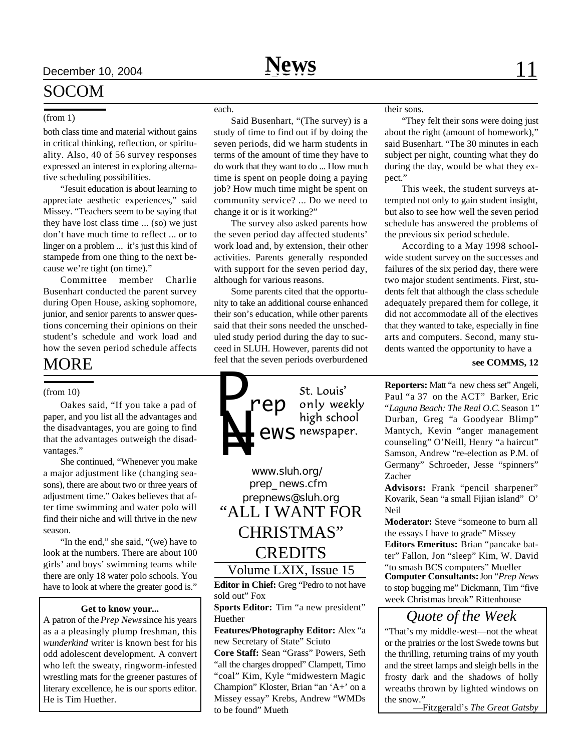#### (from 1)

SOCOM

both class time and material without gains in critical thinking, reflection, or spirituality. Also, 40 of 56 survey responses expressed an interest in exploring alternative scheduling possibilities.

"Jesuit education is about learning to appreciate aesthetic experiences," said Missey. "Teachers seem to be saying that they have lost class time ... (so) we just don't have much time to reflect ... or to linger on a problem ... it's just this kind of stampede from one thing to the next because we're tight (on time)."

Committee member Charlie Busenhart conducted the parent survey during Open House, asking sophomore, junior, and senior parents to answer questions concerning their opinions on their student's schedule and work load and how the seven period schedule affects

### MORE

#### (from 10)

Oakes said, "If you take a pad of paper, and you list all the advantages and the disadvantages, you are going to find that the advantages outweigh the disadvantages."

She continued, "Whenever you make a major adjustment like (changing seasons), there are about two or three years of adjustment time." Oakes believes that after time swimming and water polo will find their niche and will thrive in the new season.

"In the end," she said, "(we) have to look at the numbers. There are about 100 girls' and boys' swimming teams while there are only 18 water polo schools. You have to look at where the greater good is."

#### **Get to know your...**

A patron of the *Prep News* since his years as a a pleasingly plump freshman, this *wunderkind* writer is known best for his odd adolescent development. A convert who left the sweaty, ringworm-infested wrestling mats for the greener pastures of literary excellence, he is our sports editor. He is Tim Huether.

#### each.

Said Busenhart, "(The survey) is a study of time to find out if by doing the seven periods, did we harm students in terms of the amount of time they have to do work that they want to do ... How much time is spent on people doing a paying job? How much time might be spent on community service? ... Do we need to change it or is it working?"

The survey also asked parents how the seven period day affected students' work load and, by extension, their other activities. Parents generally responded with support for the seven period day, although for various reasons.

Some parents cited that the opportunity to take an additional course enhanced their son's education, while other parents said that their sons needed the unscheduled study period during the day to succeed in SLUH. However, parents did not feel that the seven periods overburdened

St. Louis' *rep* only weekly high school *ews*

*prepnews@sluh.org www.sluh.org/ prep\_news.cfm* Volume LXIX, Issue 15 "ALL I WANT FOR CHRISTMAS" **CREDITS** 

**Editor in Chief:** Greg "Pedro to not have sold out" Fox

**Sports Editor:** Tim "a new president" Huether

**Features/Photography Editor:** Alex "a new Secretary of State" Sciuto

**Core Staff:** Sean "Grass" Powers, Seth "all the charges dropped" Clampett, Timo "coal" Kim, Kyle "midwestern Magic Champion" Kloster, Brian "an 'A+' on a Missey essay" Krebs, Andrew "WMDs to be found" Mueth

their sons.

"They felt their sons were doing just about the right (amount of homework)," said Busenhart. "The 30 minutes in each subject per night, counting what they do during the day, would be what they expect."

This week, the student surveys attempted not only to gain student insight, but also to see how well the seven period schedule has answered the problems of the previous six period schedule.

According to a May 1998 schoolwide student survey on the successes and failures of the six period day, there were two major student sentiments. First, students felt that although the class schedule adequately prepared them for college, it did not accommodate all of the electives that they wanted to take, especially in fine arts and computers. Second, many students wanted the opportunity to have a

#### **see COMMS, 12**

**Reporters:** Matt "a new chess set" Angeli, Paul "a 37 on the ACT" Barker, Eric "*Laguna Beach: The Real O.C.* Season 1" Durban, Greg "a Goodyear Blimp" Mantych, Kevin "anger management counseling" O'Neill, Henry "a haircut" Samson, Andrew "re-election as P.M. of Germany" Schroeder, Jesse "spinners" Zacher

**Advisors:** Frank "pencil sharpener" Kovarik, Sean "a small Fijian island" O' Neil

**Moderator:** Steve "someone to burn all the essays I have to grade" Missey

**Editors Emeritus:** Brian "pancake batter" Fallon, Jon "sleep" Kim, W. David "to smash BCS computers" Mueller

**Computer Consultants:** Jon "*Prep News* to stop bugging me" Dickmann, Tim "five week Christmas break" Rittenhouse

### *Quote of the Week*

"That's my middle-west—not the wheat or the prairies or the lost Swede towns but the thrilling, returning trains of my youth and the street lamps and sleigh bells in the frosty dark and the shadows of holly wreaths thrown by lighted windows on the snow."

—Fitzgerald's *The Great Gatsby*